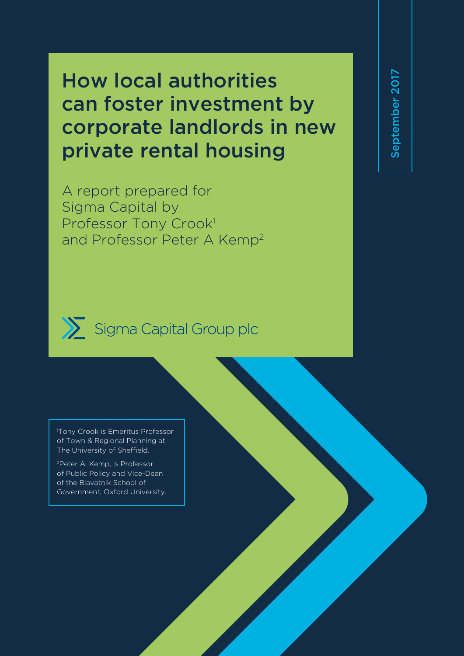# How local authorities can foster investment by corporate landlords in new private rental housing

A report prepared for Sigma Capital by Professor Tony Crook1 and Professor Peter A Kemp2 September 2017 September 2017



Sigma Capital Group plc

1 Tony Crook is Emeritus Professor of Town & Regional Planning at The University of Sheffield.

<sup>2</sup>Peter A. Kemp, is Professor of Public Policy and Vice-Dean of the Blavatnik School of Government, Oxford University.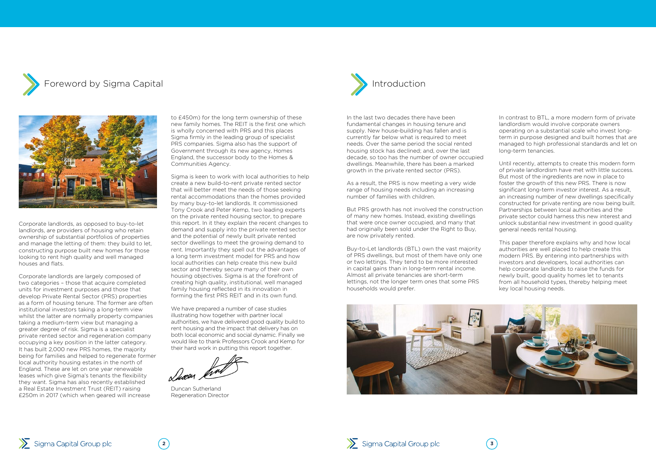





Corporate landlords, as opposed to buy-to-let landlords, are providers of housing who retain ownership of substantial portfolios of properties and manage the letting of them: they build to let, constructing purpose built new homes for those looking to rent high quality and well managed houses and flats.

Corporate landlords are largely composed of two categories – those that acquire completed units for investment purposes and those that develop Private Rental Sector (PRS) properties as a form of housing tenure. The former are often institutional investors taking a long-term view whilst the latter are normally property companies taking a medium-term view but managing a greater degree of risk. Sigma is a specialist private rented sector and regeneration company occupying a key position in the latter category. It has built 2,000 new PRS homes, the majority being for families and helped to regenerate former local authority housing estates in the north of England. These are let on one year renewable leases which give Sigma's tenants the flexibility they want. Sigma has also recently established a Real Estate Investment Trust (REIT) raising £250m in 2017 (which when geared will increase

to £450m) for the long term ownership of these new family homes. The REIT is the first one which is wholly concerned with PRS and this places Sigma firmly in the leading group of specialist PRS companies. Sigma also has the support of Government through its new agency, Homes England, the successor body to the Homes & Communities Agency.

Sigma is keen to work with local authorities to help create a new build-to-rent private rented sector that will better meet the needs of those seeking rental accommodations than the homes provided by many buy-to-let landlords. It commissioned Tony Crook and Peter Kemp, two leading experts on the private rented housing sector, to prepare this report. In it they explain the recent changes to demand and supply into the private rented sector and the potential of newly built private rented sector dwellings to meet the growing demand to rent. Importantly they spell out the advantages of a long term investment model for PRS and how local authorities can help create this new build sector and thereby secure many of their own housing objectives. Sigma is at the forefront of creating high quality, institutional, well managed family housing reflected in its innovation in forming the first PRS REIT and in its own fund.

We have prepared a number of case studies illustrating how together with partner local authorities, we have delivered good quality build to rent housing and the impact that delivery has on both local economic and social dynamic. Finally we would like to thank Professors Crook and Kemp for their hard work in putting this report together.

Duncan Sutherland Regeneration Director

In the last two decades there have been fundamental changes in housing tenure and supply. New house-building has fallen and is currently far below what is required to meet needs. Over the same period the social rented housing stock has declined; and, over the last decade, so too has the number of owner occupied dwellings. Meanwhile, there has been a marked growth in the private rented sector (PRS).

As a result, the PRS is now meeting a very wide range of housing needs including an increasing number of families with children.

But PRS growth has not involved the construction of many new homes. Instead, existing dwellings that were once owner occupied, and many that had originally been sold under the Right to Buy, are now privately rented.

Buy-to-Let landlords (BTL) own the vast majority of PRS dwellings, but most of them have only one or two lettings. They tend to be more interested in capital gains than in long-term rental income. Almost all private tenancies are short-term lettings, not the longer term ones that some PRS households would prefer.



In contrast to BTL, a more modern form of private landlordism would involve corporate owners operating on a substantial scale who invest longterm in purpose designed and built homes that are managed to high professional standards and let on long-term tenancies.

Until recently, attempts to create this modern form of private landlordism have met with little success. But most of the ingredients are now in place to foster the growth of this new PRS. There is now significant long-term investor interest. As a result, an increasing number of new dwellings specifically constructed for private renting are now being built. Partnerships between local authorities and the private sector could harness this new interest and unlock substantial new investment in good quality general needs rental housing.

This paper therefore explains why and how local authorities are well placed to help create this modern PRS. By entering into partnerships with investors and developers, local authorities can help corporate landlords to raise the funds for newly built, good quality homes let to tenants from all household types, thereby helping meet key local housing needs.

![](_page_1_Picture_9.jpeg)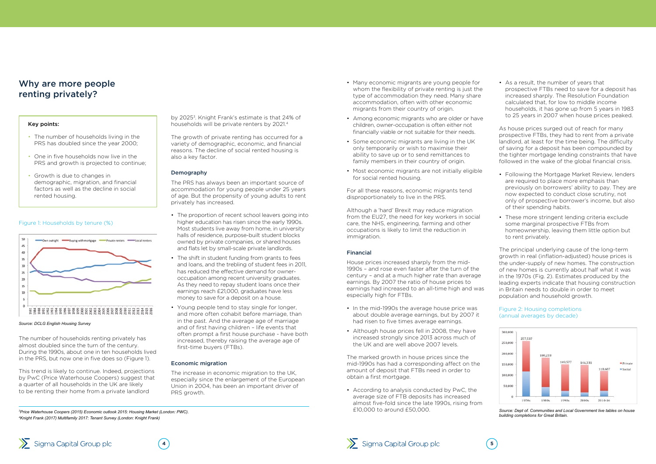The number of households renting privately has almost doubled since the turn of the century. During the 1990s, about one in ten households lived in the PRS, but now one in five does so (Figure 1).

by 2025<sup>3</sup>. Knight Frank's estimate is that 24% of households will be private renters by 2021.<sup>4</sup>

This trend is likely to continue. Indeed, projections by PwC (Price Waterhouse Coopers) suggest that a quarter of all households in the UK are likely to be renting their home from a private landlord

The growth of private renting has occurred for a variety of demographic, economic, and financial reasons. The decline of social rented housing is also a key factor.

#### **Demography**

The PRS has always been an important source of accommodation for young people under 25 years of age. But the propensity of young adults to rent privately has increased.

- The proportion of recent school leavers going into higher education has risen since the early 1990s. Most students live away from home, in university halls of residence, purpose-built student blocks owned by private companies, or shared houses and flats let by small-scale private landlords.
- The shift in student funding from grants to fees and loans, and the trebling of student fees in 2011, has reduced the effective demand for owneroccupation among recent university graduates. As they need to repay student loans once their earnings reach £21,000, graduates have less money to save for a deposit on a house.
- Young people tend to stay single for longer, and more often cohabit before marriage, than in the past. And the average age of marriage and of first having children – life events that often prompt a first house purchase - have both increased, thereby raising the average age of first-time buyers (FTBs).

#### Economic migration

The increase in economic migration to the UK, especially since the enlargement of the European Union in 2004, has been an important driver of PRS growth.

## Why are more people renting privately?

Figure 1: Households by tenure (%)

![](_page_2_Figure_5.jpeg)

*Source: DCLG English Housing Survey*

#### Key points:

- The number of households living in the PRS has doubled since the year 2000;
- One in five households now live in the PRS and growth is projected to continue;
- Growth is due to changes in demographic, migration, and financial factors as well as the decline in social rented housing.

![](_page_2_Picture_30.jpeg)

![](_page_2_Picture_32.jpeg)

- Many economic migrants are young people for whom the flexibility of private renting is just the type of accommodation they need. Many share accommodation, often with other economic migrants from their country of origin.
- Among economic migrants who are older or have children, owner-occupation is often either not financially viable or not suitable for their needs.
- Some economic migrants are living in the UK only temporarily or wish to maximise their ability to save up or to send remittances to family members in their country of origin.
- Most economic migrants are not initially eligible for social rented housing.

For all these reasons, economic migrants tend disproportionately to live in the PRS.

Although a 'hard' Brexit may reduce migration from the EU27, the need for key workers in social care, the NHS, engineering, farming and other occupations is likely to limit the reduction in immigration.

#### Financial

House prices increased sharply from the mid-1990s – and rose even faster after the turn of the century – and at a much higher rate than average earnings. By 2007 the ratio of house prices to earnings had increased to an all-time high and was especially high for FTBs.

- In the mid-1990s the average house price was about double average earnings, but by 2007 it had risen to five times average earnings.
- Although house prices fell in 2008, they have increased strongly since 2013 across much of the UK and are well above 2007 levels.

The marked growth in house prices since the mid-1990s has had a corresponding affect on the amount of deposit that FTBs need in order to obtain a first mortgage.

• According to analysis conducted by PwC, the average size of FTB deposits has increased almost five-fold since the late 1990s, rising from £10,000 to around £50,000.

• As a result, the number of years that prospective FTBs need to save for a deposit has increased sharply. The Resolution Foundation calculated that, for low to middle income households, it has gone up from 5 years in 1983 to 25 years in 2007 when house prices peaked.

As house prices surged out of reach for many prospective FTBs, they had to rent from a private landlord, at least for the time being. The difficulty of saving for a deposit has been compounded by the tighter mortgage lending constraints that have followed in the wake of the global financial crisis.

- Following the Mortgage Market Review, lenders are required to place more emphasis than previously on borrowers' ability to pay. They are now expected to conduct close scrutiny, not only of prospective borrower's income, but also of their spending habits.
- These more stringent lending criteria exclude some marginal prospective FTBs from homeownership, leaving them little option but to rent privately.

The principal underlying cause of the long-term growth in real (inflation-adjusted) house prices is the under-supply of new homes. The construction of new homes is currently about half what it was in the 1970s (Fig. 2). Estimates produced by the leading experts indicate that housing construction in Britain needs to double in order to meet population and household growth.

![](_page_2_Figure_40.jpeg)

#### Figure 2: Housing completions (annual averages by decade)

*Source: Dept of. Communities and Local Government live tables on house building completions for Great Britain.*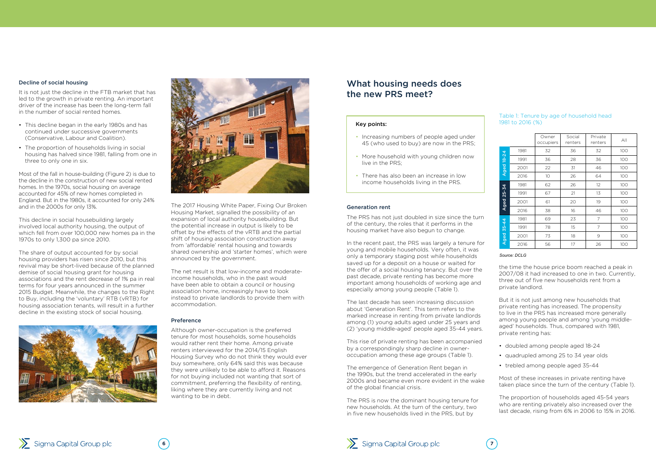#### Decline of social housing

It is not just the decline in the FTB market that has led to the growth in private renting. An important driver of the increase has been the long-term fall in the number of social rented homes.

- This decline began in the early 1980s and has continued under successive governments (Conservative, Labour and Coalition).
- The proportion of households living in social housing has halved since 1981, falling from one in three to only one in six.

Most of the fall in house-building (Figure 2) is due to the decline in the construction of new social rented homes. In the 1970s, social housing on average accounted for 45% of new homes completed in England. But in the 1980s, it accounted for only 24% and in the 2000s for only 13%.

This decline in social housebuilding largely involved local authority housing, the output of which fell from over 100,000 new homes pa in the 1970s to only 1,300 pa since 2010.

The share of output accounted for by social housing providers has risen since 2010, but this revival may be short-lived because of the planned demise of social housing grant for housing associations and the rent decrease of 1% pa in real terms for four years announced in the summer 2015 Budget. Meanwhile, the changes to the Right to Buy, including the 'voluntary' RTB (vRTB) for housing association tenants, will result in a further decline in the existing stock of social housing.

![](_page_3_Picture_7.jpeg)

Sigma Capital Group plc

![](_page_3_Picture_8.jpeg)

The 2017 Housing White Paper, Fixing Our Broken Housing Market, signalled the possibility of an expansion of local authority housebuilding. But the potential increase in output is likely to be offset by the effects of the vRTB and the partial shift of housing association construction away from 'affordable' rental housing and towards shared ownership and 'starter homes', which were announced by the government.

The net result is that low-income and moderateincome households, who in the past would have been able to obtain a council or housing association home, increasingly have to look instead to private landlords to provide them with accommodation.

#### Preference

Although owner-occupation is the preferred tenure for most households, some households would rather rent their home. Among private renters interviewed for the 2014/15 English Housing Survey who do not think they would ever buy somewhere, only 64% said this was because they were unlikely to be able to afford it. Reasons for not buying included not wanting that sort of commitment, preferring the flexibility of renting, liking where they are currently living and not wanting to be in debt.

#### Generation rent

The PRS has not just doubled in size since the turn of the century, the roles that it performs in the housing market have also begun to change.

In the recent past, the PRS was largely a tenure for young and mobile households. Very often, it was only a temporary staging post while households saved up for a deposit on a house or waited for the offer of a social housing tenancy. But over the past decade, private renting has become more important among households of working age and especially among young people (Table 1).

The last decade has seen increasing discussion about 'Generation Rent'. This term refers to the marked increase in renting from private landlords among (1) young adults aged under 25 years and (2) 'young middle-aged' people aged 35-44 years.

This rise of private renting has been accompanied by a correspondingly sharp decline in owneroccupation among these age groups (Table 1).

The emergence of Generation Rent began in the 1990s, but the trend accelerated in the early 2000s and became even more evident in the wake of the global financial crisis.

The PRS is now the dominant housing tenure for new households. At the turn of the century, two in five new households lived in the PRS, but by

![](_page_3_Picture_25.jpeg)

the time the house price boom reached a peak in 2007/08 it had increased to one in two. Currently, three out of five new households rent from a private landlord.

But it is not just among new households that private renting has increased. The propensity to live in the PRS has increased more generally among young people and among 'young middleaged' households. Thus, compared with 1981, private renting has:

- doubled among people aged 18-24
- quadrupled among 25 to 34 year olds
- trebled among people aged 35-44

Most of these increases in private renting have taken place since the turn of the century (Table 1).

The proportion of households aged 45-54 years who are renting privately also increased over the last decade, rising from 6% in 2006 to 15% in 2016.

## What housing needs does the new PRS meet?

#### Key points:

- Increasing numbers of people aged under 45 (who used to buy) are now in the PRS;
- More household with young children now live in the PRS;
- There has also been an increase in low income households living in the PRS.

#### Table 1: Tenure by age of household head 1981 to 2016 (%)

|                   |      | Owner<br>occupiers | Social<br>renters | Private<br>renters | $A$ ll |
|-------------------|------|--------------------|-------------------|--------------------|--------|
|                   | 1981 | 32                 | 36                | 32                 | 100    |
| <b>Aged 18-24</b> | 1991 | 36                 | 28                | 36                 | 100    |
|                   | 2001 | 22                 | 31                | 46                 | 100    |
|                   | 2016 | 10                 | 26                | 64                 | 100    |
| Aged 25-34        | 1981 | 62                 | 26                | 12                 | 100    |
|                   | 1991 | 67                 | 21                | 13                 | 100    |
|                   | 2001 | 61                 | 20                | 19                 | 100    |
|                   | 2016 | 38                 | 16                | 46                 | 100    |
| $35 - 44$<br>Aged | 1981 | 69                 | 23                | 7                  | 100    |
|                   | 1991 | 78                 | 15                | 7                  | 100    |
|                   | 2001 | 73                 | 18                | 9                  | 100    |
|                   | 2016 | 56                 | 17                | 26                 | 100    |

#### *Source: DCLG*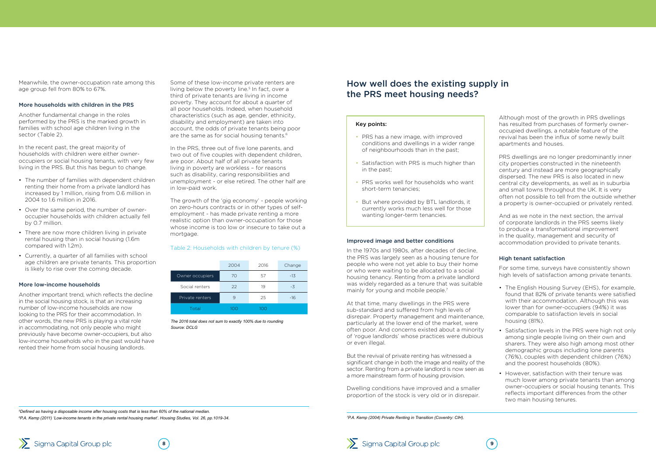Meanwhile, the owner-occupation rate among this age group fell from 80% to 67%.

#### More households with children in the PRS

Another fundamental change in the roles performed by the PRS is the marked growth in families with school age children living in the sector (Table 2).

In the recent past, the great majority of households with children were either owneroccupiers or social housing tenants, with very few living in the PRS. But this has begun to change.

Some of these low-income private renters are living below the poverty line.<sup>5</sup> In fact, over a third of private tenants are living in income poverty. They account for about a quarter of all poor households. Indeed, when household characteristics (such as age, gender, ethnicity, disability and employment) are taken into account, the odds of private tenants being poor are the same as for social housing tenants.<sup>6</sup>

- The number of families with dependent children renting their home from a private landlord has increased by 1 million, rising from 0.6 million in 2004 to 1.6 million in 2016.
- Over the same period, the number of owneroccupier households with children actually fell by 0.7 million.
- There are now more children living in private rental housing than in social housing (1.6m compared with 1.2m).
- Currently, a quarter of all families with school age children are private tenants. This proportion is likely to rise over the coming decade.

#### More low-income households

Another important trend, which reflects the decline in the social housing stock, is that an increasing number of low-income households are now looking to the PRS for their accommodation. In other words, the new PRS is playing a vital role in accommodating, not only people who might previously have become owner-occupiers, but also low-income households who in the past would have rented their home from social housing landlords.

In the 1970s and 1980s, after decades of decline, the PRS was largely seen as a housing tenure for people who were not yet able to buy their home or who were waiting to be allocated to a social housing tenancy. Renting from a private landlord was widely regarded as a tenure that was suitable mainly for young and mobile people.<sup>7</sup>

In the PRS, three out of five lone parents, and two out of five couples with dependent children, are poor. About half of all private tenants living in poverty are workless – for reasons such as disability, caring responsibilities and unemployment - or else retired. The other half are in low-paid work.

The growth of the 'gig economy' - people working on zero-hours contracts or in other types of selfemployment - has made private renting a more realistic option than owner-occupation for those whose income is too low or insecure to take out a mortgage.

#### Table 2: Households with children by tenure (%)

|                 | 2004 | 2016 | Change |
|-----------------|------|------|--------|
| Owner occupiers | 70   | 57   | $-13$  |
| Social renters  | 22   | 19   | -3     |
| Private renters | 9    | 25   | $-16$  |
| Total           | 100  | 1ററ  |        |

*The 2016 total does not sum to exactly 100% due to rounding Source: DCLG*

- The English Housing Survey (EHS), for example, found that 82% of private tenants were satisfied with their accommodation. Although this was lower than for owner-occupiers (94%) it was comparable to satisfaction levels in social housing (81%).
- Satisfaction levels in the PRS were high not only among single people living on their own and sharers. They were also high among most other demographic groups including lone parents (76%), couples with dependent children (76%) and the poorest households (80%).
- However, satisfaction with their tenure was much lower among private tenants than among owner-occupiers or social housing tenants. This reflects important differences from the other two main housing tenures.

*5 Defined as having a disposable income after housing costs that is less than 60% of the national median. 6 P.A. Kemp (2011) 'Low-income tenants in the private rental housing market'. Housing Studies, Vol. 26, pp.1019-34.*

![](_page_4_Picture_30.jpeg)

#### Improved image and better conditions

At that time, many dwellings in the PRS were sub-standard and suffered from high levels of disrepair. Property management and maintenance, particularly at the lower end of the market, were often poor. And concerns existed about a minority of 'rogue landlords' whose practices were dubious or even illegal.

But the revival of private renting has witnessed a significant change in both the image and reality of the sector. Renting from a private landlord is now seen as a more mainstream form of housing provision.

Dwelling conditions have improved and a smaller proportion of the stock is very old or in disrepair. Although most of the growth in PRS dwellings has resulted from purchases of formerly owneroccupied dwellings, a notable feature of the revival has been the influx of some newly built apartments and houses.

PRS dwellings are no longer predominantly inner city properties constructed in the nineteenth century and instead are more geographically dispersed. The new PRS is also located in new central city developments, as well as in suburbia and small towns throughout the UK. It is very often not possible to tell from the outside whether a property is owner-occupied or privately rented.

And as we note in the next section, the arrival of corporate landlords in the PRS seems likely to produce a transformational improvement in the quality, management and security of accommodation provided to private tenants.

#### High tenant satisfaction

For some time, surveys have consistently shown high levels of satisfaction among private tenants.

## How well does the existing supply in the PRS meet housing needs?

#### Key points:

- PRS has a new image, with improved conditions and dwellings in a wider range of neighbourhoods than in the past;
- Satisfaction with PRS is much higher than in the past;
- PRS works well for households who want short-term tenancies;
- But where provided by BTL landlords, it currently works much less well for those wanting longer-term tenancies.

*7 P.A. Kemp (2004) Private Renting in Transition (Coventry: CIH).*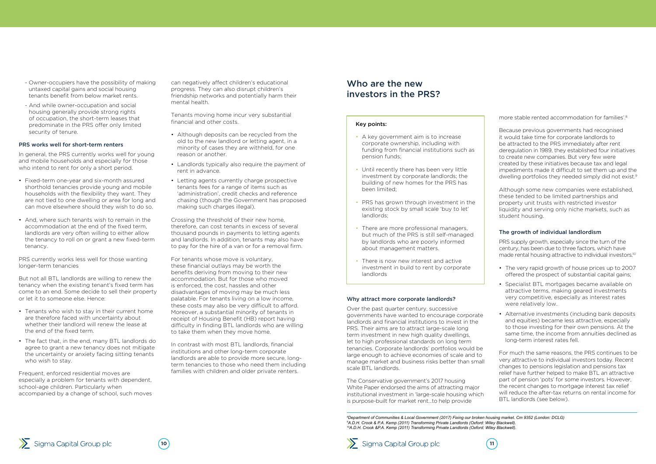- Owner-occupiers have the possibility of making untaxed capital gains and social housing tenants benefit from below market rents.
- And while owner-occupation and social housing generally provide strong rights of occupation, the short-term leases that predominate in the PRS offer only limited security of tenure.

In general, the PRS currently works well for young and mobile households and especially for those who intend to rent for only a short period.

#### PRS works well for short-term renters

- Fixed-term one-year and six-month assured shorthold tenancies provide young and mobile households with the flexibility they want. They are not tied to one dwelling or area for long and can move elsewhere should they wish to do so.
- And, where such tenants wish to remain in the accommodation at the end of the fixed term, landlords are very often willing to either allow the tenancy to roll on or grant a new fixed-term tenancy.

PRS currently works less well for those wanting longer-term tenancies

But not all BTL landlords are willing to renew the tenancy when the existing tenant's fixed term has come to an end. Some decide to sell their property or let it to someone else. Hence:

- Tenants who wish to stay in their current home are therefore faced with uncertainty about whether their landlord will renew the lease at the end of the fixed term.
- The fact that, in the end, many BTL landlords do agree to grant a new tenancy does not mitigate the uncertainty or anxiety facing sitting tenants who wish to stay.

Frequent, enforced residential moves are especially a problem for tenants with dependent, school-age children. Particularly when accompanied by a change of school, such moves can negatively affect children's educational progress. They can also disrupt children's friendship networks and potentially harm their mental health.

Tenants moving home incur very substantial financial and other costs.

- Although deposits can be recycled from the old to the new landlord or letting agent, in a minority of cases they are withheld, for one reason or another.
- Landlords typically also require the payment of rent in advance.
- Letting agents currently charge prospective tenants fees for a range of items such as 'administration', credit checks and reference chasing (though the Government has proposed making such charges illegal).

Crossing the threshold of their new home, therefore, can cost tenants in excess of several thousand pounds in payments to letting agents and landlords. In addition, tenants may also have to pay for the hire of a van or for a removal firm.

For tenants whose move is voluntary, these financial outlays may be worth the benefits deriving from moving to their new accommodation. But for those who moved is enforced, the cost, hassles and other disadvantages of moving may be much less palatable. For tenants living on a low income, these costs may also be very difficult to afford. Moreover, a substantial minority of tenants in receipt of Housing Benefit (HB) report having difficulty in finding BTL landlords who are willing to take them when they move home.

In contrast with most BTL landlords, financial institutions and other long-term corporate landlords are able to provide more secure, longterm tenancies to those who need them including families with children and older private renters.

#### Why attract more corporate landlords?

Over the past quarter century, successive governments have wanted to encourage corporate landlords and financial institutions to invest in the PRS. Their aims are to attract large-scale long term investment in new high quality dwellings, let to high professional standards on long term tenancies. Corporate landlords' portfolios would be large enough to achieve economies of scale and to manage market and business risks better than small scale BTL landlords.

The Conservative government's 2017 housing White Paper endorsed the aims of attracting major institutional investment in 'large-scale housing which is purpose-built for market rent...to help provide

more stable rented accommodation for families'.8

Because previous governments had recognised it would take time for corporate landlords to be attracted to the PRS immediately after rent deregulation in 1989, they established four initiatives to create new companies. But very few were created by these initiatives because tax and legal impediments made it difficult to set them up and the dwelling portfolios they needed simply did not exist.<sup>9</sup>

Although some new companies were established, these tended to be limited partnerships and property unit trusts with restricted investor liquidity and serving only niche markets, such as student housing.

#### The growth of individual landlordism

PRS supply growth, especially since the turn of the century, has been due to three factors, which have made rental housing attractive to individual investors.10

- The very rapid growth of house prices up to 2007 offered the prospect of substantial capital gains;
- Specialist BTL mortgages became available on attractive terms, making geared investments very competitive, especially as interest rates were relatively low.
- Alternative investments (including bank deposits and equities) became less attractive, especially to those investing for their own pensions. At the same time, the income from annuities declined as long-term interest rates fell.

For much the same reasons, the PRS continues to be very attractive to individual investors today. Recent changes to pensions legislation and pensions tax relief have further helped to make BTL an attractive part of pension 'pots' for some investors. However, the recent changes to mortgage interest tax relief will reduce the after-tax returns on rental income for BTL landlords (see below).

## Who are the new investors in the PRS?

#### Key points:

- A key government aim is to increase corporate ownership, including with funding from financial institutions such as pension funds;
- Until recently there has been very little investment by corporate landlords; the building of new homes for the PRS has been limited;
- PRS has grown through investment in the existing stock by small scale 'buy to let' landlords;
- There are more professional managers, but much of the PRS is still self-managed by landlords who are poorly informed about management matters.
- There is now new interest and active investment in build to rent by corporate landlords

*8 Department of Communities & Local Government (2017) Fixing our broken housing market. Cm 9352 (London: DCLG) 9 A.D.H. Crook & P.A. Kemp (2011) Transforming Private Landlords (Oxford: Wiley Blackwell). 10A.D.H. Crook &P.A. Kemp (2011) Transforming Private Landlords (Oxford: Wiley Blackwell).*

![](_page_5_Picture_30.jpeg)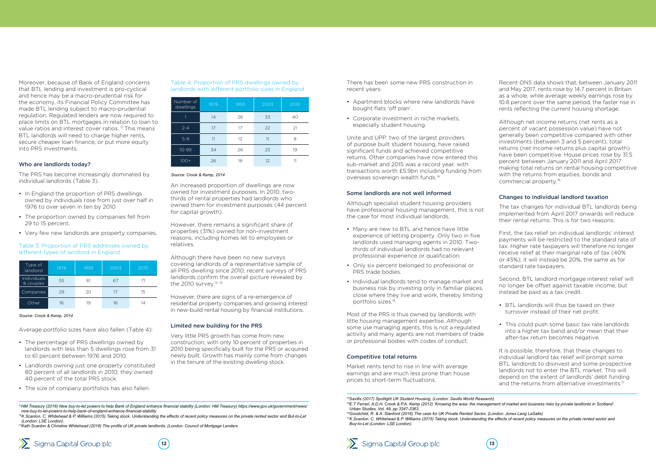Moreover, because of Bank of England concerns that BTL lending and investment is pro-cyclical and hence may be a macro-prudential risk for the economy, its Financial Policy Committee has made BTL lending subject to macro-prudential regulation. Regulated lenders are now required to place limits on BTL mortgages in relation to loan to value ratios and interest cover ratios.<sup>11</sup> This means BTL landlords will need to charge higher rents, secure cheaper loan finance, or put more equity into PRS investments.

- In England the proportion of PRS dwellings owned by individuals rose from just over half in 1976 to over seven in ten by 2010
- The proportion owned by companies fell from 29 to 15 percent.
- Very few new landlords are property companies.

#### Who are landlords today?

The PRS has become increasingly dominated by individual landlords (Table 3).

An increased proportion of dwellings are now owned for investment purposes. In 2010, twothirds of rental properties had landlords who owned them for investment purposes (44 percent for capital growth).

However, there remains a significant share of properties (31%) owned for non-investment reasons, including homes let to employees or relatives.

Although there have been no new surveys covering landlords of a representative sample of all PRS dwelling since 2010, recent surveys of PRS landlords confirm the overall picture revealed by the 2010 survey.<sup>12</sup> <sup>13</sup>

However, there are signs of a re-emergence of residential property companies and growing interest in new-build rental housing by financial institutions.

<sup>12</sup>K.Scanlon, C. Whitehead & P. Williams (2015) Taking stock. Understanding the effects of recent policy measures on the private rented sector and But-to-Let *(London: LSE London).*

#### Limited new building for the PRS

Very little PRS growth has come from new construction, with only 10 percent of properties in 2010 being specifically built for the PRS or acquired newly built. Growth has mainly come from changes in the tenure of the existing dwelling stock.

Average portfolio sizes have also fallen (Table 4):

- The percentage of PRS dwellings owned by landlords with less than 5 dwellings rose from 31 to 61 percent between 1976 and 2010.
- Landlords owning just one property constituted 80 percent of all landlords in 2010; they owned 40 percent of the total PRS stock.
- The size of company portfolios has also fallen.

#### Table 3: Proportion of PRS addresses owned by different types of landlord in England

| Type of<br>landlord      | 1976 | 1993 | 2003 | 2010 |
|--------------------------|------|------|------|------|
| Individuals<br>& couples | 55   | 6    | 67   |      |
| Companies                | 29   | 20   | 17   | 15   |
| Other                    | 16   |      | 16   |      |

#### *Source: Crook & Kemp, 2014*

Table 4: Proportion of PRS dwellings owned by landlords with different portfolio sizes in England

| Number of<br>dwellings | 1976 | 1993 | 2003 | 2010 |
|------------------------|------|------|------|------|
|                        | 14   | 26   | 33   | 40   |
| $2 - 4$                | 17   | 17   | 22   | 21   |
| $5-9$                  | 11   | 12   | 11   | 8    |
| $10 - 99$              | 34   | 26   | 23   | 19   |
| $100+$                 | 26   | 18   | 12   |      |

#### *Source: Crook & Kemp, 2014*

*<sup>11</sup>HM Treasury (2016) New buy-to-let powers to help Bank of England enhance financial stability (London: HM Treasury) https://www.gov.uk/government/news/ new-buy-to-let-powers-to-help-bank-of-england-enhance-financial-stability*

- BTL landlords will thus be taxed on their turnover instead of their net profit.
- This could push some basic tax rate landlords into a higher tax band and/or mean that their after-tax return becomes negative.

It is possible, therefore, that these changes to individual landlord tax relief will prompt some BTL landlords to disinvest and some prospective landlords not to enter the BTL market. This will depend on the extent of landlords' debt funding and the returns from alternative investments.<sup>17</sup>

*<sup>13</sup>Kath Scanlon & Christine Whitehead (2016) The profile of UK private landlords, (London: Council of Mortgage Lenders*

![](_page_6_Picture_25.jpeg)

![](_page_6_Picture_26.jpeg)

There has been some new PRS construction in

recent years: • Apartment blocks where new landlords have

bought flats 'off plan'.

• Corporate investment in niche markets, especially student housing.

*<sup>16</sup>Goodchild, R. & A. Stanford (2016) The case for UK Private Rented Sector, (London: Jones Lang LaSalle) 17K.Scanlon, C. Whitehead & P. Williams (2015) Taking stock. Understanding the effects of recent policy measures on the private rented sector and Buy-to-Let (London: LSE London).*

![](_page_6_Picture_40.jpeg)

Unite and UPP, two of the largest providers of purpose built student housing, have raised significant funds and achieved competitive returns. Other companies have now entered this sub-market and 2015 was a record year, with transactions worth £5.9bn including funding from overseas sovereign wealth funds.<sup>14</sup>

#### Some landlords are not well informed

Although specialist student housing providers have professional housing management, this is not the case for most individual landlords.

- Many are new to BTL and hence have little experience of letting property. Only two in five landlords used managing agents in 2010. Twothirds of individual landlords had no relevant professional experience or qualification.
- Only six percent belonged to professional or PRS trade bodies.
- Individual landlords tend to manage market and business risk by investing only in familiar places, close where they live and work, thereby limiting portfolio sizes.<sup>15</sup>

Most of the PRS is thus owned by landlords with little housing management expertise. Although some use managing agents, this is not a regulated activity and many agents are not members of trade or professional bodies with codes of conduct.

#### Competitive total returns

Market rents tend to rise in line with average earnings and are much less prone than house prices to short-term fluctuations.

Recent ONS data shows that, between January 2011 and May 2017, rents rose by 14.7 percent in Britain as a whole, while average weekly earnings rose by 10.8 percent over the same period, the faster rise in rents reflecting the current housing shortage.

Although net income returns (net rents as a percent of vacant possession value) have not generally been competitive compared with other investments (between 3 and 5 percent), total returns (net income returns plus capital growth) have been competitive. House prices rose by 31.5 percent between January 2011 and April 2017 making total returns on rental housing competitive with the returns from equities, bonds and commercial property.16

### Changes to individual landlord taxation

The tax changes for individual BTL landlords being implemented from April 2017 onwards will reduce their rental returns. This is for two reasons:

First, the tax relief on individual landlords' interest payments will be restricted to the standard rate of tax. Higher rate taxpayers will therefore no longer receive relief at their marginal rate of tax (40% or 45%); it will instead be 20%, the same as for standard rate taxpayers.

Second, BTL landlord mortgage interest relief will no longer be offset against taxable income, but instead be paid as a tax credit.

*<sup>14</sup>Savills (2017) Spotlight UK Student Housing, (London: Savills World Research) 15E.T Ferrari, A.D.H. Crook & P.A. Kemp (2012) 'Knowing the area: the management of market and business risks by private landlords in Scotland'. Urban Studies, Vol. 49, pp 3347-3363.*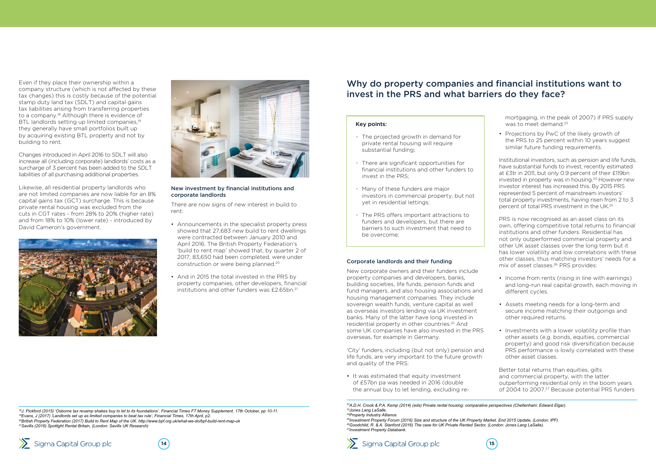**14 15**

![](_page_7_Picture_23.jpeg)

Even if they place their ownership within a company structure (which is not affected by these tax changes) this is costly because of the potential stamp duty land tax (SDLT) and capital gains tax liabilities arising from transferring properties to a company.<sup>18</sup> Although there is evidence of BTL landlords setting up limited companies,<sup>19</sup> they generally have small portfolios built up by acquiring existing BTL property and not by building to rent.

- Announcements in the specialist property press showed that 27,683 new build to rent dwellings were contracted between January 2010 and April 2016. The British Property Federation's 'build to rent map' showed that, by quarter 2 of 2017, 83,650 had been completed, were under construction or were being planned.20
- And in 2015 the total invested in the PRS by property companies, other developers, financial institutions and other funders was £2.65bn.<sup>21</sup>

Changes introduced in April 2016 to SDLT will also increase all (including corporate) landlords' costs as a surcharge of 3 percent has been added to the SDLT liabilities of all purchasing additional properties.

Likewise, all residential property landlords who are not limited companies are now liable for an 8% capital gains tax (GCT) surcharge. This is because private rental housing was excluded from the cuts in CGT rates - from 28% to 20% (higher rate) and from 18% to 10% (lower rate) - introduced by David Cameron's government.

![](_page_7_Picture_3.jpeg)

![](_page_7_Picture_4.jpeg)

#### New investment by financial institutions and corporate landlords

There are now signs of new interest in build to rent:

mortgaging, in the peak of 2007) if PRS supply was to meet demand.<sup>23</sup>

Institutional investors, such as pension and life funds, have substantial funds to invest, recently estimated at £3tr in 2011, but only 0.9 percent of their £119bn invested in property was in housing.24 However new investor interest has increased this. By 2015 PRS represented 5 percent of mainstream investors' total property investments, having risen from 2 to 3 percent of total PRS investment in the UK<sup>25</sup>

*18J. Pickford (2015) 'Osborne tax revamp shakes buy to let to its foundations'. Financial Times FT Money Supplement. 17th October, pp 10-11. 19Evans, J (2017) 'Landlords set up as limited companies to beat tax rule', Financial Times, 17th April, p2. <sup>20</sup>British Property Federation (2017) Build to Rent Map of the UK. http://www.bpf.org.uk/what-we-do/bpf-build-rent-map-uk 21Savills (2016) Spotlight Rental Britain, (London: Savills UK Research)*

![](_page_7_Picture_25.jpeg)

![](_page_7_Picture_26.jpeg)

#### Corporate landlords and their funding

New corporate owners and their funders include property companies and developers, banks, building societies, life funds, pension funds and fund managers, and also housing associations and housing management companies. They include sovereign wealth funds, venture capital as well as overseas investors lending via UK investment banks. Many of the latter have long invested in residential property in other countries.22 And some UK companies have also invested in the PRS overseas, for example in Germany.

'City' funders, including (but not only) pension and life funds, are very important to the future growth and quality of the PRS:

• It was estimated that equity investment of £57bn pa was needed in 2016 (double the annual buy to let lending, excluding re• Projections by PwC of the likely growth of the PRS to 25 percent within 10 years suggest similar future funding requirements.

PRS is now recognised as an asset class on its own, offering competitive total returns to financial institutions and other funders. Residential has not only outperformed commercial property and other UK asset classes over the long term but it has lower volatility and low correlations with these other classes, thus matching investors' needs for a mix of asset classes.26 PRS provides:

- Income from rents (rising in line with earnings) and long-run real capital growth, each moving in different cycles.
- Assets meeting needs for a long-term and secure income matching their outgoings and other required returns.
- Investments with a lower volatility profile than other assets (e.g. bonds, equities, commercial property) and good risk diversification because PRS performance is lowly correlated with these other asset classes.

Better total returns than equities, gilts and commercial property, with the latter outperforming residential only in the boom years of 2004 to 2007.27 Because potential PRS funders

## Why do property companies and financial institutions want to invest in the PRS and what barriers do they face?

#### Key points:

- The projected growth in demand for private rental housing will require substantial funding;
- There are significant opportunities for financial institutions and other funders to invest in the PRS;
- Many of these funders are major investors in commercial property, but not yet in residential lettings;
- The PRS offers important attractions to funders and developers, but there are barriers to such investment that need to be overcome;

*22A.D.H. Crook & P.A. Kemp (2014) (eds) Private rental housing: comparative perspectives (Cheltenham: Edward Elgar). 23Jones Lang LaSalle. 24Property Industry Alliance.*

*25Investment Property Forum (2016) Size and structure of the UK Property Market. End 2015 Update, (London: IPF) 26Goodchild, R. & A. Stanford (2016) The case for UK Private Rented Sector, (London: Jones Lang LaSalle). 27Investment Property Databank.*

![](_page_7_Picture_21.jpeg)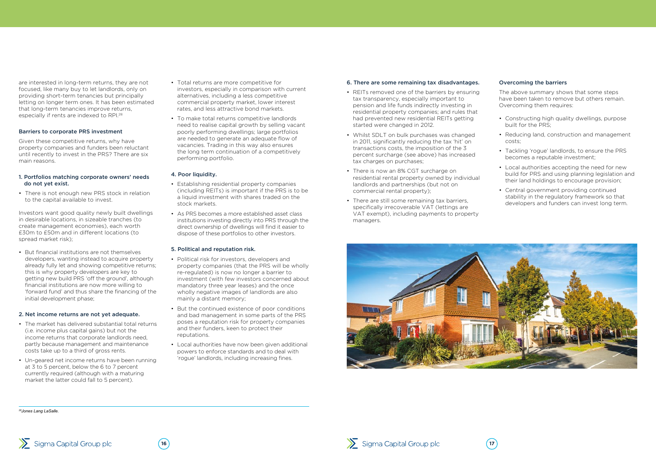![](_page_8_Picture_28.jpeg)

are interested in long-term returns, they are not focused, like many buy to let landlords, only on providing short-term tenancies but principally letting on longer term ones. It has been estimated that long-term tenancies improve returns, especially if rents are indexed to RPI.28

#### Barriers to corporate PRS investment

Given these competitive returns, why have property companies and funders been reluctant until recently to invest in the PRS? There are six main reasons.

#### 1. Portfolios matching corporate owners' needs do not yet exist.

• There is not enough new PRS stock in relation to the capital available to invest.

Investors want good quality newly built dwellings in desirable locations, in sizeable tranches (to create management economies), each worth £30m to £50m and in different locations (to spread market risk);

• But financial institutions are not themselves developers, wanting instead to acquire property already fully let and showing competitive returns; this is why property developers are key to getting new build PRS 'off the ground', although financial institutions are now more willing to 'forward fund' and thus share the financing of the initial development phase;

#### 2. Net income returns are not yet adequate.

- The market has delivered substantial total returns (i.e. income plus capital gains) but not the income returns that corporate landlords need, partly because management and maintenance costs take up to a third of gross rents.
- Un-geared net income returns have been running at 3 to 5 percent, below the 6 to 7 percent currently required (although with a maturing market the latter could fall to 5 percent).
- Total returns are more competitive for investors, especially in comparison with current alternatives, including a less competitive commercial property market, lower interest rates, and less attractive bond markets.
- To make total returns competitive landlords need to realise capital growth by selling vacant poorly performing dwellings; large portfolios are needed to generate an adequate flow of vacancies. Trading in this way also ensures the long term continuation of a competitively performing portfolio.

#### 4. Poor liquidity.

- Establishing residential property companies (including REITs) is important if the PRS is to be a liquid investment with shares traded on the stock markets.
- As PRS becomes a more established asset class institutions investing directly into PRS through the direct ownership of dwellings will find it easier to dispose of these portfolios to other investors.

#### 5. Political and reputation risk.

- Political risk for investors, developers and property companies (that the PRS will be wholly re-regulated) is now no longer a barrier to investment (with few investors concerned about mandatory three year leases) and the once wholly negative images of landlords are also mainly a distant memory;
- But the continued existence of poor conditions and bad management in some parts of the PRS poses a reputation risk for property companies and their funders, keen to protect their reputations.
- Local authorities have now been given additional powers to enforce standards and to deal with 'rogue' landlords, including increasing fines.

*28Jones Lang LaSalle.*

#### 6. There are some remaining tax disadvantages.

- REITs removed one of the barriers by ensuring tax transparency, especially important to pension and life funds indirectly investing in residential property companies; and rules that had prevented new residential REITs getting started were changed in 2012.
- Whilst SDLT on bulk purchases was changed in 2011, significantly reducing the tax 'hit' on transactions costs, the imposition of the 3 percent surcharge (see above) has increased tax charges on purchases;
- There is now an 8% CGT surcharge on residential rental property owned by individual landlords and partnerships (but not on commercial rental property);
- There are still some remaining tax barriers, specifically irrecoverable VAT (lettings are VAT exempt), including payments to property managers.

![](_page_8_Picture_24.jpeg)

#### Overcoming the barriers

The above summary shows that some steps have been taken to remove but others remain. Overcoming them requires:

- Constructing high quality dwellings, purpose built for the PRS;
- Reducing land, construction and management costs;
- Tackling 'rogue' landlords, to ensure the PRS becomes a reputable investment;
- Local authorities accepting the need for new build for PRS and using planning legislation and their land holdings to encourage provision;
- Central government providing continued stability in the regulatory framework so that developers and funders can invest long term.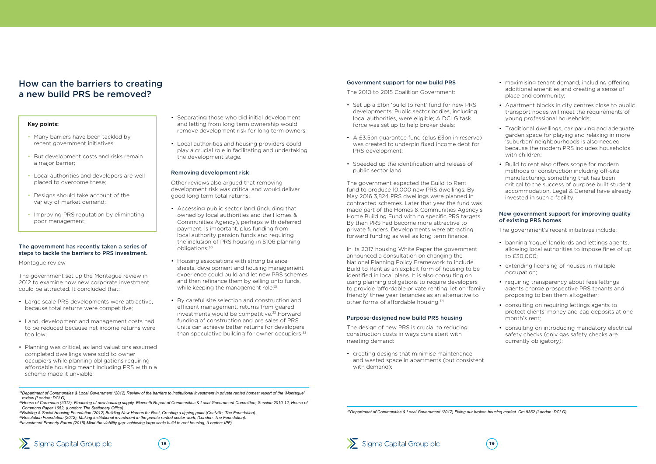![](_page_9_Picture_38.jpeg)

#### The government has recently taken a series of steps to tackle the barriers to PRS investment.

Montague review

The government set up the Montague review in 2012 to examine how new corporate investment could be attracted. It concluded that:

- Large scale PRS developments were attractive, because total returns were competitive;
- Land, development and management costs had to be reduced because net income returns were too low;
- Planning was critical, as land valuations assumed completed dwellings were sold to owner occupiers while planning obligations requiring affordable housing meant including PRS within a scheme made it unviable;
- Accessing public sector land (including that owned by local authorities and the Homes & Communities Agency), perhaps with deferred payment, is important, plus funding from local authority pension funds and requiring the inclusion of PRS housing in S106 planning obligations;<sup>30</sup>
- Housing associations with strong balance sheets, development and housing management experience could build and let new PRS schemes and then refinance them by selling onto funds, while keeping the management role;<sup>31</sup>
- By careful site selection and construction and efficient management, returns from geared investments would be competitive.<sup>32</sup> Forward funding of construction and pre sales of PRS units can achieve better returns for developers than speculative building for owner occupiers.<sup>33</sup>
- Separating those who did initial development and letting from long term ownership would remove development risk for long term owners;
- Local authorities and housing providers could play a crucial role in facilitating and undertaking the development stage.

#### Removing development risk

Other reviews also argued that removing development risk was critical and would deliver good long term total returns:

- Many barriers have been tackled by recent government initiatives;
- But development costs and risks remain a major barrier;
- Local authorities and developers are well placed to overcome these;
- Designs should take account of the variety of market demand;
- Improving PRS reputation by eliminating poor management;

<sup>30</sup>House of Commons (2012), Financing of new housing supply, Eleventh Report of Communities & Local Government Committee, Session 2010-12, House of *Commons Paper 1652, (London: The Stationery Office).*

## How can the barriers to creating a new build PRS be removed?

#### Key points:

*29Department of Communities & Local Government (2012) Review of the barriers to institutional investment in private rented homes: report of the 'Montague' review (London: DCLG).*

*31Building & Social Housing Foundation (2012) Building New Homes for Rent, Creating a tipping point (Coalville, The Foundation).*

*32Resolution Foundation (2012), Making institutional investment in the private rented sector work, (London: The Foundation). 33Investment Property Forum (2015) Mind the viability gap: achieving large scale build to rent housing, (London: IPF).*

![](_page_9_Picture_36.jpeg)

#### Government support for new build PRS

The 2010 to 2015 Coalition Government:

- Set up a £1bn 'build to rent' fund for new PRS developments; Public sector bodies, including local authorities, were eligible; A DCLG task force was set up to help broker deals;
- A  $f3.5$ bn guarantee fund (plus  $f3$ bn in reserve) was created to underpin fixed income debt for PRS development;
- Speeded up the identification and release of public sector land.

The government expected the Build to Rent fund to produce 10,000 new PRS dwellings. By May 2016 3,824 PRS dwellings were planned in contracted schemes. Later that year the fund was made part of the Homes & Communities Agency's Home Building Fund with no specific PRS targets. By then PRS had become more attractive to private funders. Developments were attracting forward funding as well as long term finance.

In its 2017 housing White Paper the government announced a consultation on changing the National Planning Policy Framework to include Build to Rent as an explicit form of housing to be identified in local plans. It is also consulting on using planning obligations to require developers to provide 'affordable private renting' let on 'family friendly' three year tenancies as an alternative to other forms of affordable housing.<sup>34</sup>

#### Purpose-designed new build PRS housing

The design of new PRS is crucial to reducing construction costs in ways consistent with meeting demand:

• creating designs that minimise maintenance and wasted space in apartments (but consistent with demand);

- maximising tenant demand, including offering additional amenities and creating a sense of place and community;
- Apartment blocks in city centres close to public transport nodes will meet the requirements of young professional households;
- Traditional dwellings, car parking and adequate garden space for playing and relaxing in more 'suburban' neighbourhoods is also needed because the modern PRS includes households with children;
- Build to rent also offers scope for modern methods of construction including off-site manufacturing, something that has been critical to the success of purpose built student accommodation. Legal & General have already invested in such a facility.

#### New government support for improving quality of existing PRS homes

The government's recent initiatives include:

- banning 'rogue' landlords and lettings agents, allowing local authorities to impose fines of up to £30,000;
- extending licensing of houses in multiple occupation;
- requiring transparency about fees lettings agents charge prospective PRS tenants and proposing to ban them altogether;
- consulting on requiring lettings agents to protect clients' money and cap deposits at one month's rent;
- consulting on introducing mandatory electrical safety checks (only gas safety checks are currently obligatory);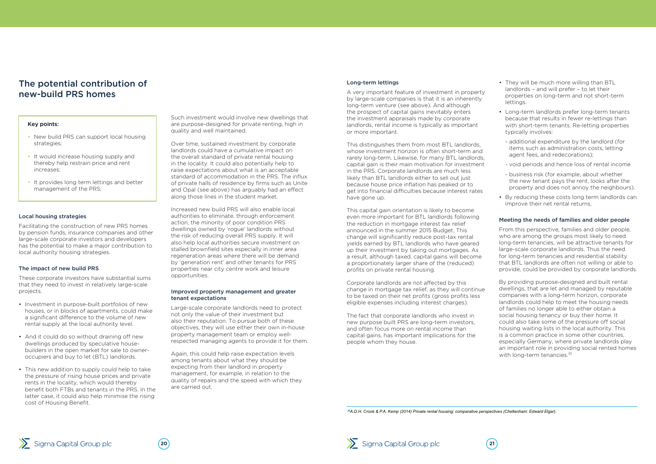![](_page_10_Picture_29.jpeg)

- They will be much more willing than BTL landlords – and will prefer – to let their properties on long-term and not short-term lettings.
- Long-term landlords prefer long-term tenants because that results in fewer re-lettings than with short-term tenants. Re-letting properties typically involves:
	- additional expenditure by the landlord (for items such as administration costs, letting agent fees, and redecorations);
	- void periods and hence loss of rental income
	- business risk (for example, about whether the new tenant pays the rent, looks after the property and does not annoy the neighbours).
- By reducing these costs long term landlords can improve their net rental returns.

#### Local housing strategies

Facilitating the construction of new PRS homes by pension funds, insurance companies and other large-scale corporate investors and developers has the potential to make a major contribution to local authority housing strategies.

#### The impact of new build PRS

These corporate investors have substantial sums that they need to invest in relatively large-scale projects.

- Investment in purpose-built portfolios of new houses, or in blocks of apartments, could make a significant difference to the volume of new rental supply at the local authority level.
- And it could do so without draining off new dwellings produced by speculative housebuilders in the open market for sale to owneroccupiers and buy to let (BTL) landlords.
- This new addition to supply could help to take the pressure of rising house prices and private rents in the locality, which would thereby benefit both FTBs and tenants in the PRS. In the latter case, it could also help minimise the rising cost of Housing Benefit.

Such investment would involve new dwellings that are purpose-designed for private renting, high in quality and well maintained.

Over time, sustained investment by corporate landlords could have a cumulative impact on the overall standard of private rental housing in the locality. It could also potentially help to raise expectations about what is an acceptable standard of accommodation in the PRS. The influx of private halls of residence by firms such as Unite and Opal (see above) has arguably had an effect along those lines in the student market.

This distinguishes them from most BTL landlords, whose investment horizon is often short-term and rarely long-term. Likewise, for many BTL landlords, capital gain is their main motivation for investment in the PRS. Corporate landlords are much less likely than BTL landlords either to sell out just because house price inflation has peaked or to get into financial difficulties because interest rates have gone up.

Increased new build PRS will also enable local authorities to eliminate, through enforcement action, the minority of poor condition PRS dwellings owned by 'rogue' landlords without the risk of reducing overall PRS supply. It will also help local authorities secure investment on stalled brownfield sites especially in inner area regeneration areas where there will be demand by 'generation rent' and other tenants for PRS properties near city centre work and leisure opportunities.

#### Improved property management and greater tenant expectations

Large-scale corporate landlords need to protect not only the value of their investment but also their reputation. To pursue both of these objectives, they will use either their own in-house property management team or employ wellrespected managing agents to provide it for them.

Again, this could help raise expectation levels among tenants about what they should be expecting from their landlord in property management, for example, in relation to the quality of repairs and the speed with which they are carried out.

## The potential contribution of new-build PRS homes

#### Key points:

- New build PRS can support local housing strategies;
- It would increase housing supply and thereby help restrain price and rent increases;
- It provides long term lettings and better management of the PRS;

By providing purpose-designed and built rental dwellings, that are let and managed by reputable companies with a long-term horizon, corporate landlords could help to meet the housing needs of families no longer able to either obtain a social housing tenancy or buy their home. It could also take some of the pressure off social housing waiting lists in the local authority. This is a common practice in some other countries, especially Germany, where private landlords play an important role in providing social rented homes with long-term tenancies.<sup>35</sup>

#### Long-term lettings

A very important feature of investment in property by large-scale companies is that it is an inherently long-term venture (see above). And although the prospect of capital gains inevitably enters the investment appraisals made by corporate landlords, rental income is typically as important or more important.

This capital gain orientation is likely to become even more important for BTL landlords following the reduction in mortgage interest tax relief announced in the summer 2015 Budget. This change will significantly reduce post-tax rental yields earned by BTL landlords who have geared up their investment by taking out mortgages. As a result, although taxed, capital gains will become a proportionately larger share of the (reduced) profits on private rental housing.

Corporate landlords are not affected by this change in mortgage tax relief, as they will continue to be taxed on their net profits (gross profits less eligible expenses including interest charges).

The fact that corporate landlords who invest in new purpose built PRS are long-term investors, and often focus more on rental income than capital gains, has important implications for the people whom they house.

#### Meeting the needs of families and older people

From this perspective, families and older people, who are among the groups most likely to need long-term tenancies, will be attractive tenants for large-scale corporate landlords. Thus the need for long-term tenancies and residential stability that BTL landlords are often not willing or able to provide, could be provided by corporate landlords.

*35A.D.H. Crook & P.A. Kemp (2014) Private rental housing: comparative perspectives (Cheltenham: Edward Elgar).*

![](_page_10_Picture_25.jpeg)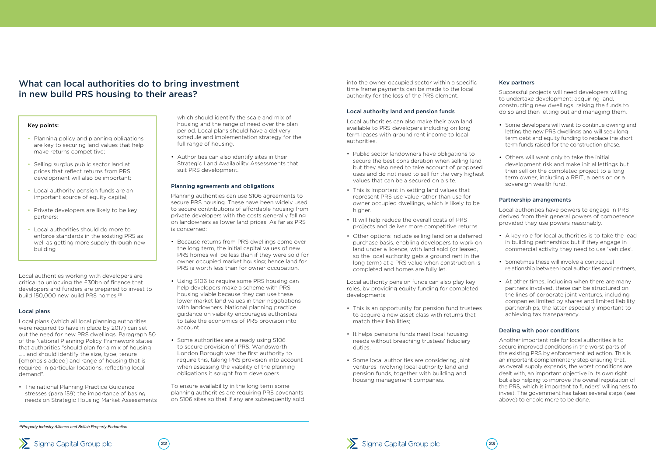Local authorities working with developers are critical to unlocking the £30bn of finance that developers and funders are prepared to invest to build 150,000 new build PRS homes.36

#### Local plans

Local plans (which all local planning authorities were required to have in place by 2017) can set out the need for new PRS dwellings. Paragraph 50 of the National Planning Policy Framework states that authorities "should plan for a mix of housing ..... and should identify the size, type, tenure [emphasis added] and range of housing that is required in particular locations, reflecting local demand".

• The national Planning Practice Guidance stresses (para 159) the importance of basing needs on Strategic Housing Market Assessments

which should identify the scale and mix of housing and the range of need over the plan period. Local plans should have a delivery schedule and implementation strategy for the full range of housing.

• Authorities can also identify sites in their Strategic Land Availability Assessments that suit PRS development.

#### Planning agreements and obligations

Planning authorities can use S106 agreements to secure PRS housing. These have been widely used to secure contributions of affordable housing from private developers with the costs generally falling on landowners as lower land prices. As far as PRS is concerned:

- Planning policy and planning obligations are key to securing land values that help make returns competitive;
- Selling surplus public sector land at prices that reflect returns from PRS development will also be important;
- Local authority pension funds are an important source of equity capital:
- Private developers are likely to be key partners;
- Local authorities should do more to enforce standards in the existing PRS as well as getting more supply through new building
- Because returns from PRS dwellings come over the long term, the initial capital values of new PRS homes will be less than if they were sold for owner occupied market housing; hence land for PRS is worth less than for owner occupation.
- Using S106 to require some PRS housing can help developers make a scheme with PRS housing viable because they can use these lower market land values in their negotiations with landowners. National planning practice guidance on viability encourages authorities to take the economics of PRS provision into account.
- Some authorities are already using S106 to secure provision of PRS. Wandsworth London Borough was the first authority to require this, taking PRS provision into account when assessing the viability of the planning obligations it sought from developers.

To ensure availability in the long term some planning authorities are requiring PRS covenants on S106 sites so that if any are subsequently sold

## What can local authorities do to bring investment in new build PRS housing to their areas?

#### Key points:

![](_page_11_Picture_30.jpeg)

![](_page_11_Picture_31.jpeg)

![](_page_11_Picture_32.jpeg)

into the owner occupied sector within a specific time frame payments can be made to the local authority for the loss of the PRS element.

#### Local authority land and pension funds

Local authorities can also make their own land available to PRS developers including on long term leases with ground rent income to local authorities.

- Public sector landowners have obligations to secure the best consideration when selling land but they also need to take account of proposed uses and do not need to sell for the very highest values that can be a secured on a site.
- This is important in setting land values that represent PRS use value rather than use for owner occupied dwellings, which is likely to be higher.
- It will help reduce the overall costs of PRS projects and deliver more competitive returns.
- Other options include selling land on a deferred purchase basis, enabling developers to work on land under a licence, with land sold (or leased, so the local authority gets a ground rent in the long term) at a PRS value when construction is completed and homes are fully let.

Local authority pension funds can also play key roles, by providing equity funding for completed developments.

- This is an opportunity for pension fund trustees to acquire a new asset class with returns that match their liabilities;
- It helps pensions funds meet local housing needs without breaching trustees' fiduciary duties.
- Some local authorities are considering joint ventures involving local authority land and pension funds, together with building and housing management companies.

#### Key partners

Successful projects will need developers willing to undertake development: acquiring land, constructing new dwellings, raising the funds to do so and then letting out and managing them.

- Some developers will want to continue owning and letting the new PRS dwellings and will seek long term debt and equity funding to replace the short term funds raised for the construction phase.
- Others will want only to take the initial development risk and make initial lettings but then sell on the completed project to a long term owner, including a REIT, a pension or a sovereign wealth fund.

#### Partnership arrangements

Local authorities have powers to engage in PRS derived from their general powers of competence provided they use powers reasonably.

- A key role for local authorities is to take the lead in building partnerships but if they engage in commercial activity they need to use 'vehicles'.
- Sometimes these will involve a contractual relationship between local authorities and partners,
- At other times, including when there are many partners involved, these can be structured on the lines of corporate joint ventures, including companies limited by shares and limited liability partnerships, the latter especially important to achieving tax transparency.

#### Dealing with poor conditions

Another important role for local authorities is to secure improved conditions in the worst parts of the existing PRS by enforcement led action. This is an important complementary step ensuring that, as overall supply expands, the worst conditions are dealt with, an important objective in its own right but also helping to improve the overall reputation of the PRS, which is important to funders' willingness to invest. The government has taken several steps (see above) to enable more to be done.